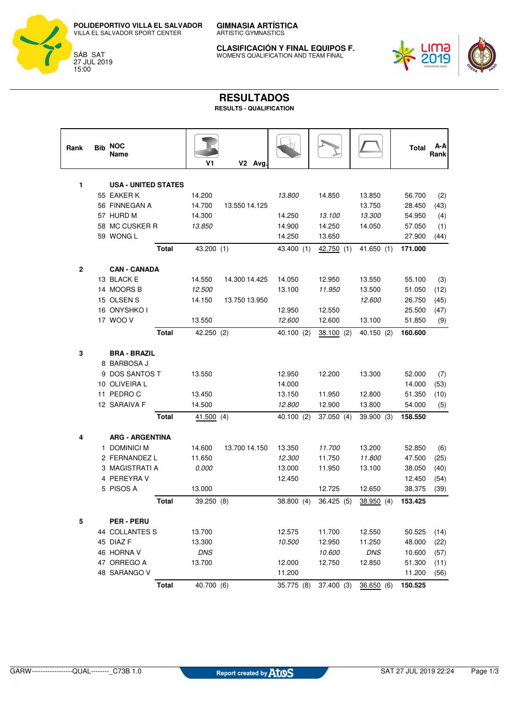**POLIDEPORTIVO VILLA EL SALVADOR** VILLA EL SALVADOR SPORT CENTER



ARTISTIC GYMNASTICS **CLASIFICACIÓN Y FINAL EQUIPOS F.**

WOMEN'S QUALIFICATION AND TEAM FINAL



## **RESULTADOS**

**GIMNASIA ARTÍSTICA**

**RESULTS - QUALIFICATION**

| Rank | <b>Bib</b> | <b>NOC</b><br>Name                       |              | V1           | V2 Avg        |                  |                  |                  | Total            | A-A<br>Rank |
|------|------------|------------------------------------------|--------------|--------------|---------------|------------------|------------------|------------------|------------------|-------------|
|      |            |                                          |              |              |               |                  |                  |                  |                  |             |
| 1    |            | <b>USA - UNITED STATES</b><br>55 EAKER K |              | 14.200       |               |                  |                  |                  |                  |             |
|      |            | 56 FINNEGAN A                            |              | 14.700       | 13.550 14.125 | <i>13.800</i>    | 14.850           | 13.850<br>13.750 | 56.700<br>28.450 | (2)<br>(43) |
|      |            | 57 HURD M                                |              | 14.300       |               | 14.250           | 13.100           | 13.300           | 54.950           | (4)         |
|      |            | 58 MC CUSKER R                           |              | 13.850       |               | 14.900           | 14.250           | 14.050           | 57.050           | (1)         |
|      |            | 59 WONG L                                |              |              |               | 14.250           | 13.650           |                  | 27.900           | (44)        |
|      |            |                                          | <b>Total</b> | 43.200 (1)   |               | 43.400 (1)       | 42.750 (1)       | 41.650(1)        | 171.000          |             |
|      |            |                                          |              |              |               |                  |                  |                  |                  |             |
| 2    |            | <b>CAN - CANADA</b>                      |              |              |               |                  |                  |                  |                  |             |
|      |            | 13 BLACK E                               |              | 14.550       | 14.300 14.425 | 14.050           | 12.950           | 13.550           | 55.100           | (3)         |
|      |            | 14 MOORS B                               |              | 12.500       |               | 13.100           | 11.950           | 13.500           | 51.050           | (12)        |
|      |            | 15 OLSEN S<br>16 ONYSHKO I               |              | 14.150       | 13.750 13.950 |                  |                  | 12.600           | 26.750           | (45)        |
|      |            | 17 WOO V                                 |              | 13.550       |               | 12.950<br>12.600 | 12.550<br>12.600 | 13.100           | 25.500           | (47)        |
|      |            |                                          |              |              |               |                  |                  |                  | 51.850           | (9)         |
|      |            |                                          | <b>Total</b> | 42.250 (2)   |               | 40.100 (2)       | 38.100(2)        | 40.150 (2)       | 160.600          |             |
| 3    |            | <b>BRA - BRAZIL</b>                      |              |              |               |                  |                  |                  |                  |             |
|      |            | 8 BARBOSA J                              |              |              |               |                  |                  |                  |                  |             |
|      |            | 9 DOS SANTOS T                           |              | 13.550       |               | 12.950           | 12.200           | 13.300           | 52.000           | (7)         |
|      |            | 10 OLIVEIRA L                            |              |              |               | 14.000           |                  |                  | 14.000           | (53)        |
|      |            | 11 PEDRO C                               |              | 13.450       |               | 13.150           | 11.950           | 12.800           | 51.350           | (10)        |
|      |            | 12 SARAIVA F                             |              | 14.500       |               | 12.800           | 12.900           | 13.800           | 54.000           | (5)         |
|      |            |                                          | <b>Total</b> | 41.500(4)    |               | 40.100 (2)       | 37.050 (4)       | 39.900 (3)       | 158.550          |             |
| 4    |            | <b>ARG - ARGENTINA</b>                   |              |              |               |                  |                  |                  |                  |             |
|      |            | 1 DOMINICI M                             |              | 14.600       | 13.700 14.150 | 13.350           | 11.700           | 13.200           | 52.850           | (6)         |
|      |            | 2 FERNANDEZ L                            |              | 11.650       |               | 12.300           | 11.750           | 11.800           | 47.500           | (25)        |
|      |            | 3 MAGISTRATI A                           |              | <i>0.000</i> |               | 13.000           | 11.950           | 13.100           | 38.050           | (40)        |
|      |            | 4 PEREYRA V                              |              |              |               | 12.450           |                  |                  | 12.450           | (54)        |
|      |            | 5 PISOS A                                |              | 13.000       |               |                  | 12.725           | 12.650           | 38.375           | (39)        |
|      |            |                                          | <b>Total</b> | 39.250 (8)   |               | 38.800 (4)       | 36.425(5)        | 38.950 (4)       | 153.425          |             |
| 5    |            | <b>PER-PERU</b>                          |              |              |               |                  |                  |                  |                  |             |
|      |            | 44 COLLANTES S                           |              | 13.700       |               | 12.575           | 11.700           | 12.550           | 50.525           | (14)        |
|      |            | 45 DIAZ F                                |              | 13.300       |               | 10.500           | 12.950           | 11.250           | 48.000           | (22)        |
|      |            | 46 HORNA V                               |              | <b>DNS</b>   |               |                  | 10.600           | DNS              | 10.600           | (57)        |
|      |            | 47 ORREGO A                              |              | 13.700       |               | 12.000           | 12.750           | 12.850           | 51.300           | (11)        |
|      |            | 48 SARANGO V                             |              |              |               | 11.200           |                  |                  | 11.200           | (56)        |
|      |            |                                          | <b>Total</b> | 40.700 (6)   |               | 35.775 (8)       | 37.400 (3)       | 36.650(6)        | 150.525          |             |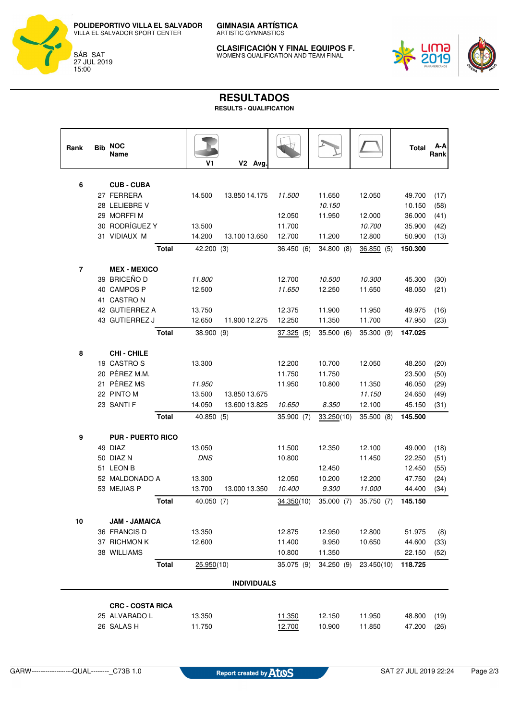**POLIDEPORTIVO VILLA EL SALVADOR** VILLA EL SALVADOR SPORT CENTER



ARTISTIC GYMNASTICS

**GIMNASIA ARTÍSTICA**

**CLASIFICACIÓN Y FINAL EQUIPOS F.** WOMEN'S QUALIFICATION AND TEAM FINAL



## **RESULTADOS**

**RESULTS - QUALIFICATION**

| Rank           | <b>Bib</b> | <b>NOC</b><br>Name          | V1         | V2 Avg.            |            |                  |            | Total            | A-A<br>Rank  |
|----------------|------------|-----------------------------|------------|--------------------|------------|------------------|------------|------------------|--------------|
|                |            |                             |            |                    |            |                  |            |                  |              |
| 6              |            | <b>CUB-CUBA</b>             |            |                    |            |                  |            |                  |              |
|                |            | 27 FERRERA<br>28 LELIEBRE V | 14.500     | 13.850 14.175      | 11.500     | 11.650<br>10.150 | 12.050     | 49.700<br>10.150 | (17)         |
|                |            | 29 MORFFIM                  |            |                    | 12.050     | 11.950           | 12.000     | 36.000           | (58)         |
|                |            | 30 RODRÍGUEZ Y              | 13.500     |                    | 11.700     |                  | 10.700     | 35.900           | (41)<br>(42) |
|                |            | 31 VIDIAUX M                | 14.200     | 13.100 13.650      | 12.700     | 11.200           | 12.800     | 50.900           | (13)         |
|                |            |                             |            |                    |            |                  |            |                  |              |
|                |            | <b>Total</b>                | 42.200 (3) |                    | 36.450 (6) | 34.800 (8)       | 36.850(5)  | 150.300          |              |
| $\overline{7}$ |            | <b>MEX - MEXICO</b>         |            |                    |            |                  |            |                  |              |
|                |            | 39 BRICEÑO D                | 11.800     |                    | 12.700     | 10.500           | 10.300     | 45.300           | (30)         |
|                |            | 40 CAMPOS P                 | 12.500     |                    | 11.650     | 12.250           | 11.650     | 48.050           | (21)         |
|                |            | 41 CASTRON                  |            |                    |            |                  |            |                  |              |
|                |            | 42 GUTIERREZ A              | 13.750     |                    | 12.375     | 11.900           | 11.950     | 49.975           | (16)         |
|                |            | 43 GUTIERREZ J              | 12.650     | 11.900 12.275      | 12.250     | 11.350           | 11.700     | 47.950           | (23)         |
|                |            | <b>Total</b>                | 38.900 (9) |                    | 37.325(5)  | 35.500 (6)       | 35.300 (9) | 147.025          |              |
|                |            |                             |            |                    |            |                  |            |                  |              |
| 8              |            | <b>CHI-CHILE</b>            |            |                    |            |                  |            |                  |              |
|                |            | 19 CASTROS                  | 13.300     |                    | 12.200     | 10.700           | 12.050     | 48.250           | (20)         |
|                |            | 20 PÉREZ M.M.               |            |                    | 11.750     | 11.750           |            | 23.500           | (50)         |
|                |            | 21 PÉREZ MS                 | 11.950     |                    | 11.950     | 10.800           | 11.350     | 46.050           | (29)         |
|                |            | 22 PINTO M                  | 13.500     | 13.850 13.675      |            |                  | 11.150     | 24.650           | (49)         |
|                |            | 23 SANTI F                  | 14.050     | 13.600 13.825      | 10.650     | 8.350            | 12.100     | 45.150           | (31)         |
|                |            | <b>Total</b>                | 40.850 (5) |                    | 35.900 (7) | 33.250(10)       | 35.500(8)  | 145.500          |              |
| 9              |            | <b>PUR - PUERTO RICO</b>    |            |                    |            |                  |            |                  |              |
|                |            | 49 DIAZ                     | 13.050     |                    | 11.500     | 12.350           | 12.100     | 49.000           | (18)         |
|                |            | 50 DIAZ N                   | <b>DNS</b> |                    | 10.800     |                  | 11.450     | 22.250           | (51)         |
|                |            | 51 LEON B                   |            |                    |            | 12.450           |            | 12.450           | (55)         |
|                |            | 52 MALDONADO A              | 13.300     |                    | 12.050     | 10.200           | 12.200     | 47.750           | (24)         |
|                |            | 53 MEJIAS P                 | 13.700     | 13.000 13.350      | 10.400     | 9.300            | 11.000     | 44.400           | (34)         |
|                |            | <b>Total</b>                | 40.050 (7) |                    | 34.350(10) | 35.000 (7)       | 35.750 (7) | 145.150          |              |
|                |            |                             |            |                    |            |                  |            |                  |              |
| 10             |            | <b>JAM - JAMAICA</b>        |            |                    |            |                  |            |                  |              |
|                |            | 36 FRANCIS D                | 13.350     |                    | 12.875     | 12.950           | 12.800     | 51.975           | (8)          |
|                |            | 37 RICHMON K                | 12.600     |                    | 11.400     | 9.950            | 10.650     | 44.600           | (33)         |
|                |            | 38 WILLIAMS                 |            |                    | 10.800     | 11.350           |            | 22.150           | (52)         |
|                |            | <b>Total</b>                | 25.950(10) |                    | 35.075 (9) | 34.250(9)        | 23.450(10) | 118.725          |              |
|                |            |                             |            | <b>INDIVIDUALS</b> |            |                  |            |                  |              |
|                |            | <b>CRC - COSTA RICA</b>     |            |                    |            |                  |            |                  |              |
|                |            | 25 ALVARADO L               | 13.350     |                    | 11.350     | 12.150           | 11.950     | 48.800           | (19)         |
|                |            | 26 SALAS H                  | 11.750     |                    | 12.700     | 10.900           | 11.850     | 47.200           | (26)         |